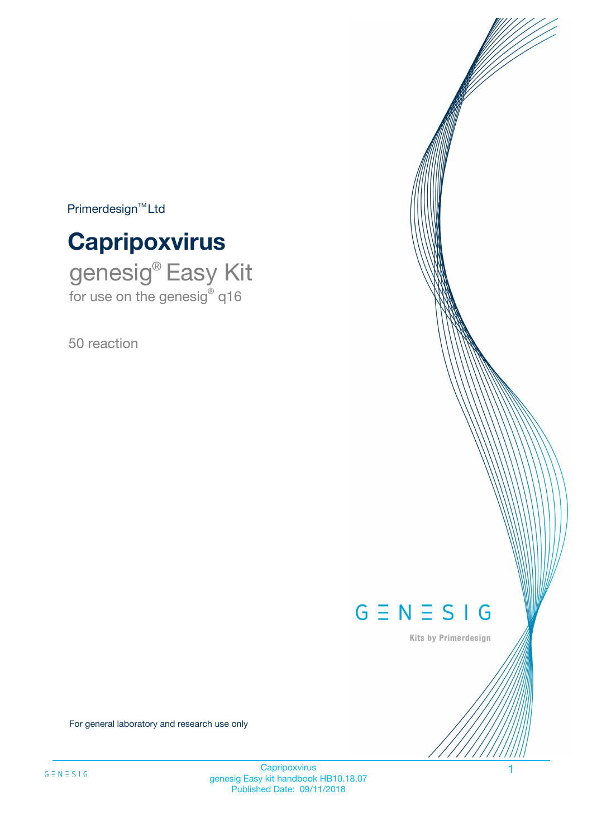$Primerdesign^{\text{TM}}Ltd$ 



genesig® Easy Kit for use on the genesig® q16

50 reaction



Kits by Primerdesign

For general laboratory and research use only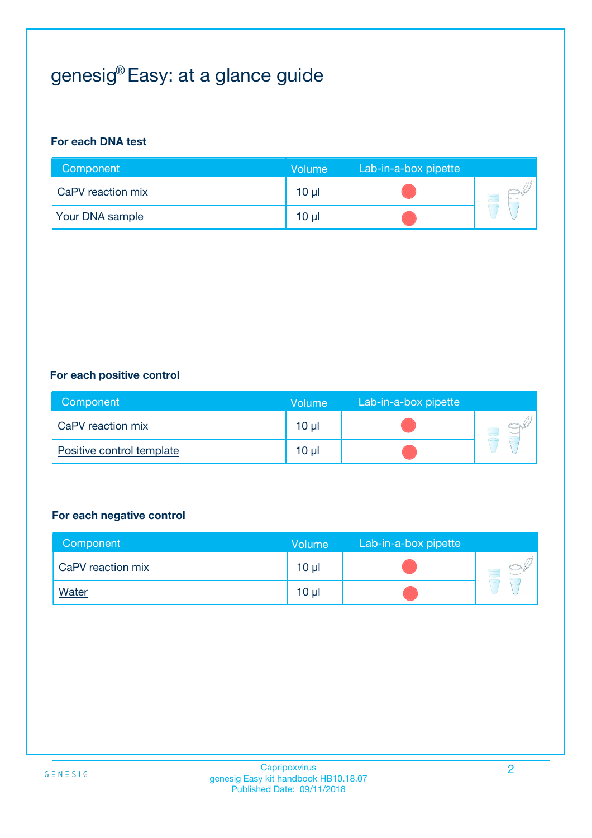# genesig® Easy: at a glance guide

#### **For each DNA test**

| Component              | <b>Volume</b>   | Lab-in-a-box pipette |  |
|------------------------|-----------------|----------------------|--|
| CaPV reaction mix      | $10 \mu$        |                      |  |
| <b>Your DNA sample</b> | 10 <sub>µ</sub> |                      |  |

#### **For each positive control**

| Component                 | Volume          | Lab-in-a-box pipette |  |
|---------------------------|-----------------|----------------------|--|
| CaPV reaction mix         | 10 <sub>µ</sub> |                      |  |
| Positive control template | $10 \mu$        |                      |  |

#### **For each negative control**

| Component         | <b>Volume</b>   | Lab-in-a-box pipette |  |
|-------------------|-----------------|----------------------|--|
| CaPV reaction mix | 10 <sub>µ</sub> |                      |  |
| <u>Water</u>      | 10 <sub>µ</sub> |                      |  |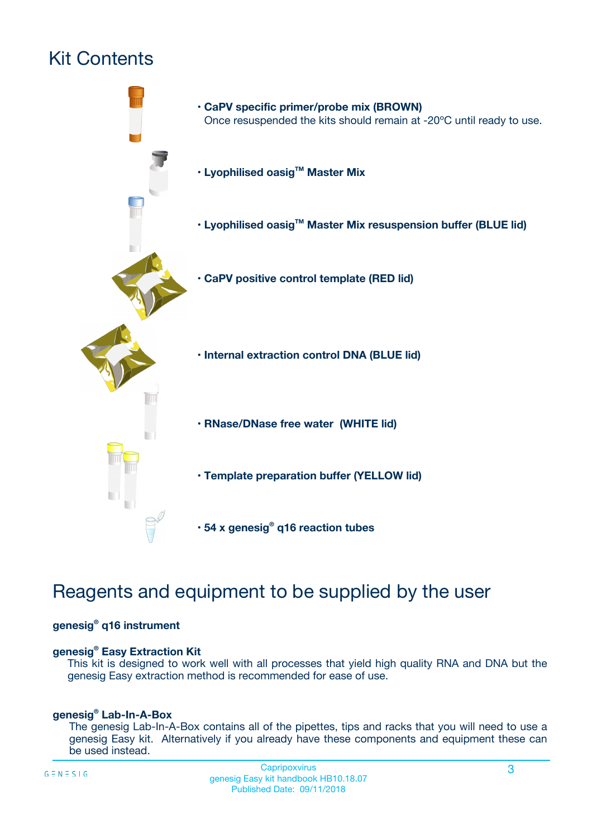# Kit Contents



## Reagents and equipment to be supplied by the user

#### **genesig® q16 instrument**

#### **genesig® Easy Extraction Kit**

This kit is designed to work well with all processes that yield high quality RNA and DNA but the genesig Easy extraction method is recommended for ease of use.

#### **genesig® Lab-In-A-Box**

The genesig Lab-In-A-Box contains all of the pipettes, tips and racks that you will need to use a genesig Easy kit. Alternatively if you already have these components and equipment these can be used instead.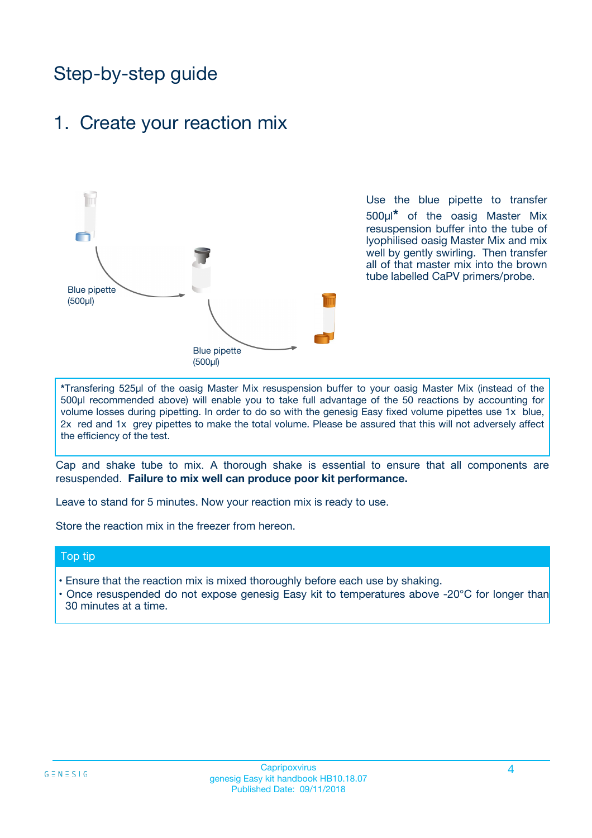## Step-by-step guide

### 1. Create your reaction mix



Use the blue pipette to transfer 500µl**\*** of the oasig Master Mix resuspension buffer into the tube of lyophilised oasig Master Mix and mix well by gently swirling. Then transfer all of that master mix into the brown tube labelled CaPV primers/probe.

**\***Transfering 525µl of the oasig Master Mix resuspension buffer to your oasig Master Mix (instead of the 500µl recommended above) will enable you to take full advantage of the 50 reactions by accounting for volume losses during pipetting. In order to do so with the genesig Easy fixed volume pipettes use 1x blue, 2x red and 1x grey pipettes to make the total volume. Please be assured that this will not adversely affect the efficiency of the test.

Cap and shake tube to mix. A thorough shake is essential to ensure that all components are resuspended. **Failure to mix well can produce poor kit performance.**

Leave to stand for 5 minutes. Now your reaction mix is ready to use.

Store the reaction mix in the freezer from hereon.

#### Top tip

- Ensure that the reaction mix is mixed thoroughly before each use by shaking.
- **•** Once resuspended do not expose genesig Easy kit to temperatures above -20°C for longer than 30 minutes at a time.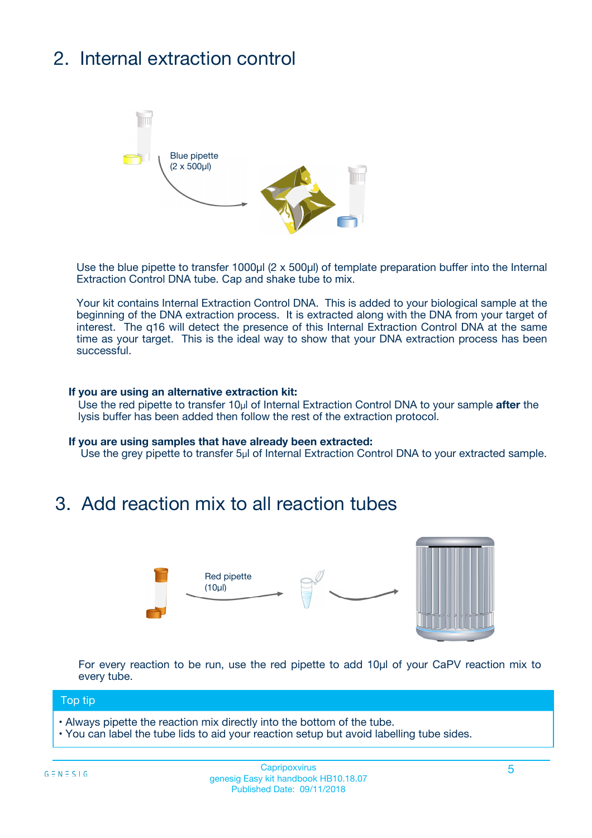# 2. Internal extraction control



Use the blue pipette to transfer 1000µl (2 x 500µl) of template preparation buffer into the Internal Extraction Control DNA tube. Cap and shake tube to mix.

Your kit contains Internal Extraction Control DNA. This is added to your biological sample at the beginning of the DNA extraction process. It is extracted along with the DNA from your target of interest. The q16 will detect the presence of this Internal Extraction Control DNA at the same time as your target. This is the ideal way to show that your DNA extraction process has been successful.

#### **If you are using an alternative extraction kit:**

Use the red pipette to transfer 10µl of Internal Extraction Control DNA to your sample **after** the lysis buffer has been added then follow the rest of the extraction protocol.

#### **If you are using samples that have already been extracted:**

Use the grey pipette to transfer 5µl of Internal Extraction Control DNA to your extracted sample.

### 3. Add reaction mix to all reaction tubes



For every reaction to be run, use the red pipette to add 10µl of your CaPV reaction mix to every tube.

#### Top tip

- Always pipette the reaction mix directly into the bottom of the tube.
- You can label the tube lids to aid your reaction setup but avoid labelling tube sides.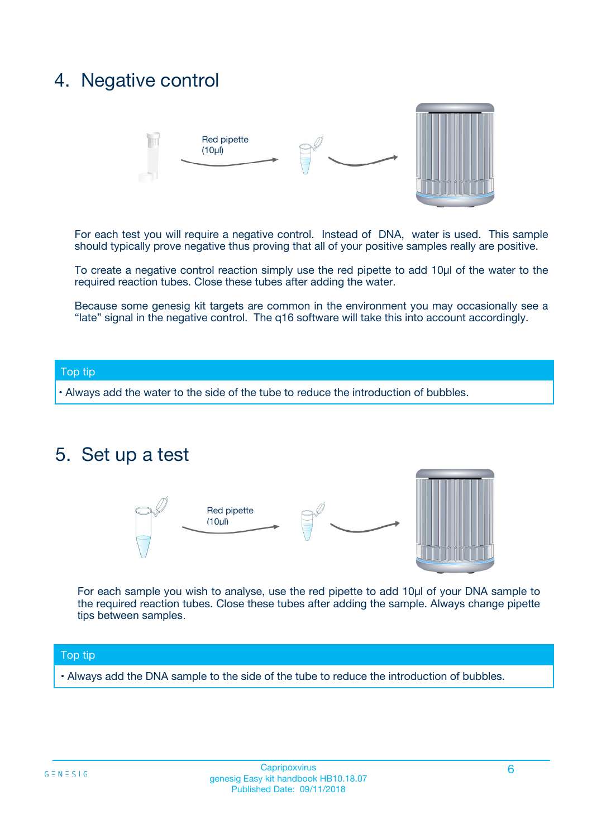### 4. Negative control



For each test you will require a negative control. Instead of DNA, water is used. This sample should typically prove negative thus proving that all of your positive samples really are positive.

To create a negative control reaction simply use the red pipette to add 10µl of the water to the required reaction tubes. Close these tubes after adding the water.

Because some genesig kit targets are common in the environment you may occasionally see a "late" signal in the negative control. The q16 software will take this into account accordingly.

#### Top tip

**•** Always add the water to the side of the tube to reduce the introduction of bubbles.

### 5. Set up a test



For each sample you wish to analyse, use the red pipette to add 10µl of your DNA sample to the required reaction tubes. Close these tubes after adding the sample. Always change pipette tips between samples.

#### Top tip

**•** Always add the DNA sample to the side of the tube to reduce the introduction of bubbles.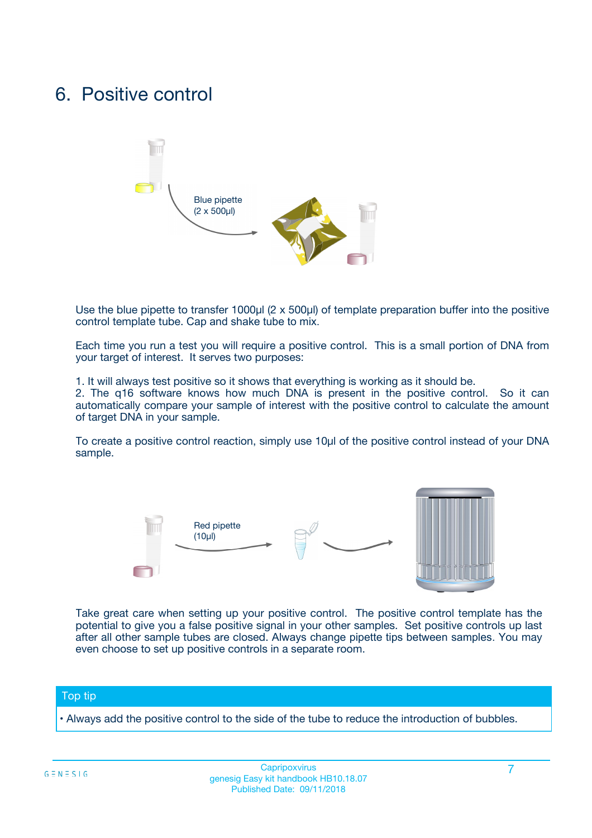### 6. Positive control



Use the blue pipette to transfer 1000µl (2 x 500µl) of template preparation buffer into the positive control template tube. Cap and shake tube to mix.

Each time you run a test you will require a positive control. This is a small portion of DNA from your target of interest. It serves two purposes:

1. It will always test positive so it shows that everything is working as it should be.

2. The q16 software knows how much DNA is present in the positive control. So it can automatically compare your sample of interest with the positive control to calculate the amount of target DNA in your sample.

To create a positive control reaction, simply use 10µl of the positive control instead of your DNA sample.



Take great care when setting up your positive control. The positive control template has the potential to give you a false positive signal in your other samples. Set positive controls up last after all other sample tubes are closed. Always change pipette tips between samples. You may even choose to set up positive controls in a separate room.

#### Top tip

**•** Always add the positive control to the side of the tube to reduce the introduction of bubbles.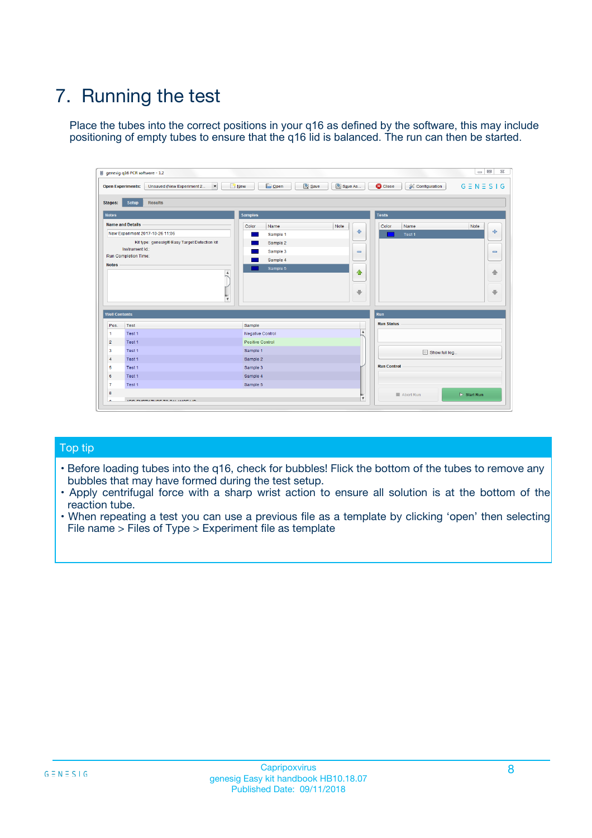# 7. Running the test

Place the tubes into the correct positions in your q16 as defined by the software, this may include positioning of empty tubes to ensure that the q16 lid is balanced. The run can then be started.

| qenesig q16 PCR software - 1.2                                               |                                   | $\Box$                                                                                          |
|------------------------------------------------------------------------------|-----------------------------------|-------------------------------------------------------------------------------------------------|
| $\vert \cdot \vert$<br>Unsaved (New Experiment 2<br><b>Open Experiments:</b> | <b>D</b> Open<br>R <sub>New</sub> | Save<br>Save As<br><b>C</b> Close<br><b>&amp; Configuration</b><br>$G \equiv N \equiv S \mid G$ |
| <b>Setup</b><br><b>Results</b><br>Stages:                                    |                                   |                                                                                                 |
| <b>Notes</b>                                                                 | <b>Samples</b>                    | <b>Tests</b>                                                                                    |
| <b>Name and Details</b>                                                      | Name<br>Color                     | Note<br>Color<br>Note<br>Name                                                                   |
| New Experiment 2017-10-26 11:06                                              | Sample 1                          | ÷<br>条<br>Test 1                                                                                |
| Kit type: genesig® Easy Target Detection kit                                 | Sample 2                          |                                                                                                 |
| Instrument Id.:                                                              | Sample 3                          | $\qquad \qquad \blacksquare$<br>$\qquad \qquad \blacksquare$                                    |
| <b>Run Completion Time:</b>                                                  | Sample 4                          |                                                                                                 |
| <b>Notes</b><br><b>A</b><br>$\overline{\mathbf v}$                           | Sample 5                          | ♦<br>4<br>÷<br>₩                                                                                |
| <b>Well Contents</b>                                                         |                                   | <b>Run</b>                                                                                      |
| Pos.<br>Test                                                                 | Sample                            | <b>Run Status</b>                                                                               |
| Test 1<br>$\blacktriangleleft$                                               | Negative Control                  | $\blacktriangle$                                                                                |
| $\overline{2}$<br>Test 1                                                     | <b>Positive Control</b>           |                                                                                                 |
| $\overline{\mathbf{3}}$<br>Test 1                                            | Sample 1                          | Show full log                                                                                   |
| Test 1<br>4                                                                  | Sample 2                          |                                                                                                 |
| 5<br>Test 1                                                                  | Sample 3                          | <b>Run Control</b>                                                                              |
| Test 1<br>6                                                                  | Sample 4                          |                                                                                                 |
| $\overline{7}$<br>Test 1                                                     | Sample 5                          |                                                                                                 |
| 8                                                                            |                                   | $\triangleright$ Start Run<br>Abort Run                                                         |
| <b>JOD FURTY TUDE TO BUILDED IN</b>                                          |                                   | $\overline{\mathbf{v}}$                                                                         |

#### Top tip

- Before loading tubes into the q16, check for bubbles! Flick the bottom of the tubes to remove any bubbles that may have formed during the test setup.
- Apply centrifugal force with a sharp wrist action to ensure all solution is at the bottom of the reaction tube.
- When repeating a test you can use a previous file as a template by clicking 'open' then selecting File name > Files of Type > Experiment file as template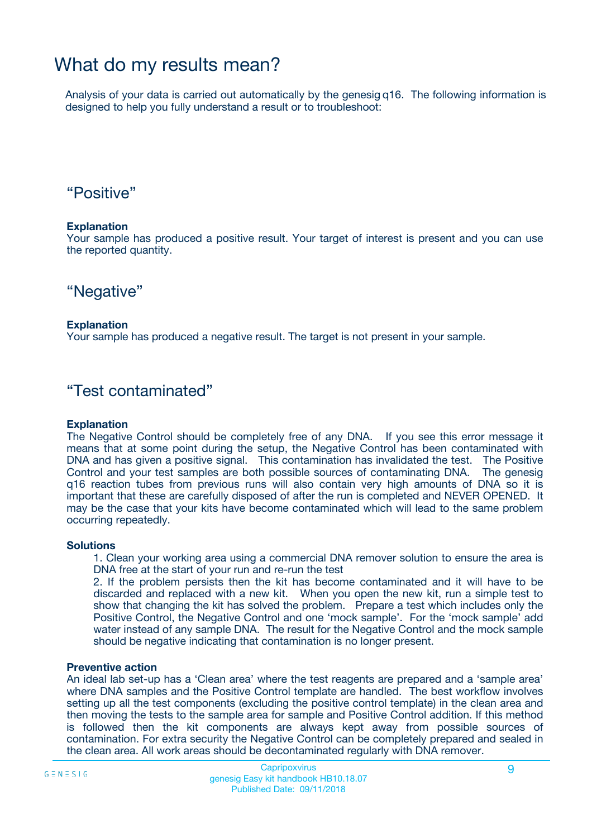## What do my results mean?

Analysis of your data is carried out automatically by the genesig q16. The following information is designed to help you fully understand a result or to troubleshoot:

### "Positive"

#### **Explanation**

Your sample has produced a positive result. Your target of interest is present and you can use the reported quantity.

"Negative"

#### **Explanation**

Your sample has produced a negative result. The target is not present in your sample.

### "Test contaminated"

#### **Explanation**

The Negative Control should be completely free of any DNA. If you see this error message it means that at some point during the setup, the Negative Control has been contaminated with DNA and has given a positive signal. This contamination has invalidated the test. The Positive Control and your test samples are both possible sources of contaminating DNA. The genesig q16 reaction tubes from previous runs will also contain very high amounts of DNA so it is important that these are carefully disposed of after the run is completed and NEVER OPENED. It may be the case that your kits have become contaminated which will lead to the same problem occurring repeatedly.

#### **Solutions**

1. Clean your working area using a commercial DNA remover solution to ensure the area is DNA free at the start of your run and re-run the test

2. If the problem persists then the kit has become contaminated and it will have to be discarded and replaced with a new kit. When you open the new kit, run a simple test to show that changing the kit has solved the problem. Prepare a test which includes only the Positive Control, the Negative Control and one 'mock sample'. For the 'mock sample' add water instead of any sample DNA. The result for the Negative Control and the mock sample should be negative indicating that contamination is no longer present.

#### **Preventive action**

An ideal lab set-up has a 'Clean area' where the test reagents are prepared and a 'sample area' where DNA samples and the Positive Control template are handled. The best workflow involves setting up all the test components (excluding the positive control template) in the clean area and then moving the tests to the sample area for sample and Positive Control addition. If this method is followed then the kit components are always kept away from possible sources of contamination. For extra security the Negative Control can be completely prepared and sealed in the clean area. All work areas should be decontaminated regularly with DNA remover.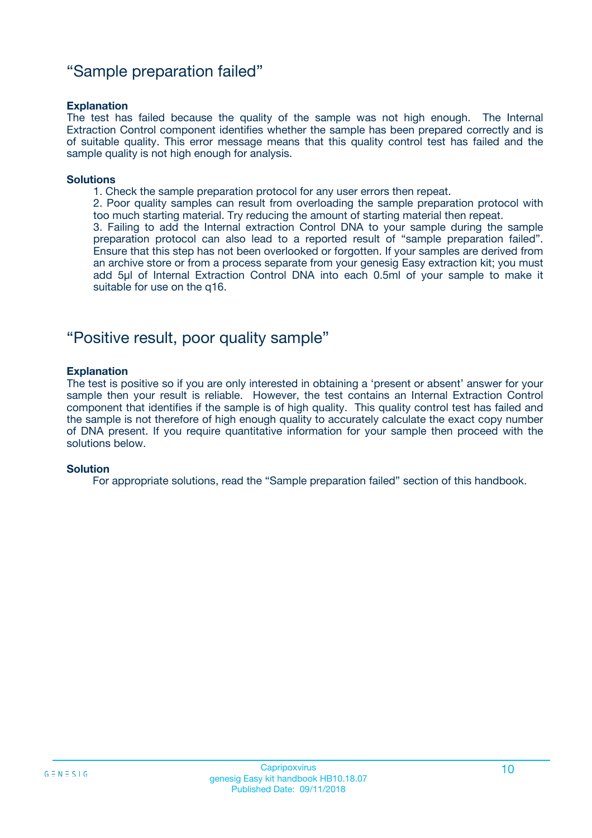### "Sample preparation failed"

#### **Explanation**

The test has failed because the quality of the sample was not high enough. The Internal Extraction Control component identifies whether the sample has been prepared correctly and is of suitable quality. This error message means that this quality control test has failed and the sample quality is not high enough for analysis.

#### **Solutions**

1. Check the sample preparation protocol for any user errors then repeat.

2. Poor quality samples can result from overloading the sample preparation protocol with too much starting material. Try reducing the amount of starting material then repeat.

3. Failing to add the Internal extraction Control DNA to your sample during the sample preparation protocol can also lead to a reported result of "sample preparation failed". Ensure that this step has not been overlooked or forgotten. If your samples are derived from an archive store or from a process separate from your genesig Easy extraction kit; you must add 5µl of Internal Extraction Control DNA into each 0.5ml of your sample to make it suitable for use on the q16.

### "Positive result, poor quality sample"

#### **Explanation**

The test is positive so if you are only interested in obtaining a 'present or absent' answer for your sample then your result is reliable. However, the test contains an Internal Extraction Control component that identifies if the sample is of high quality. This quality control test has failed and the sample is not therefore of high enough quality to accurately calculate the exact copy number of DNA present. If you require quantitative information for your sample then proceed with the solutions below.

#### **Solution**

For appropriate solutions, read the "Sample preparation failed" section of this handbook.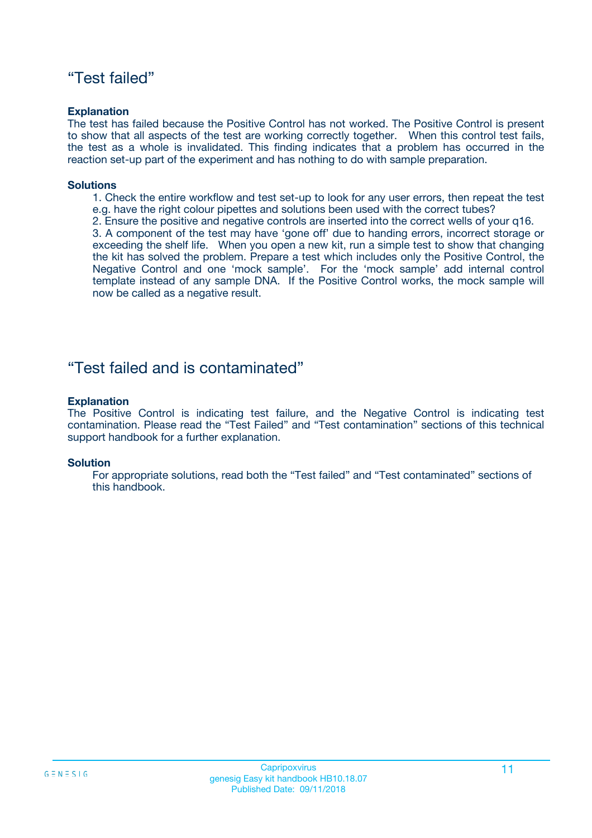### "Test failed"

#### **Explanation**

The test has failed because the Positive Control has not worked. The Positive Control is present to show that all aspects of the test are working correctly together. When this control test fails, the test as a whole is invalidated. This finding indicates that a problem has occurred in the reaction set-up part of the experiment and has nothing to do with sample preparation.

#### **Solutions**

- 1. Check the entire workflow and test set-up to look for any user errors, then repeat the test e.g. have the right colour pipettes and solutions been used with the correct tubes?
- 2. Ensure the positive and negative controls are inserted into the correct wells of your q16.

3. A component of the test may have 'gone off' due to handing errors, incorrect storage or exceeding the shelf life. When you open a new kit, run a simple test to show that changing the kit has solved the problem. Prepare a test which includes only the Positive Control, the Negative Control and one 'mock sample'. For the 'mock sample' add internal control template instead of any sample DNA. If the Positive Control works, the mock sample will now be called as a negative result.

### "Test failed and is contaminated"

#### **Explanation**

The Positive Control is indicating test failure, and the Negative Control is indicating test contamination. Please read the "Test Failed" and "Test contamination" sections of this technical support handbook for a further explanation.

#### **Solution**

For appropriate solutions, read both the "Test failed" and "Test contaminated" sections of this handbook.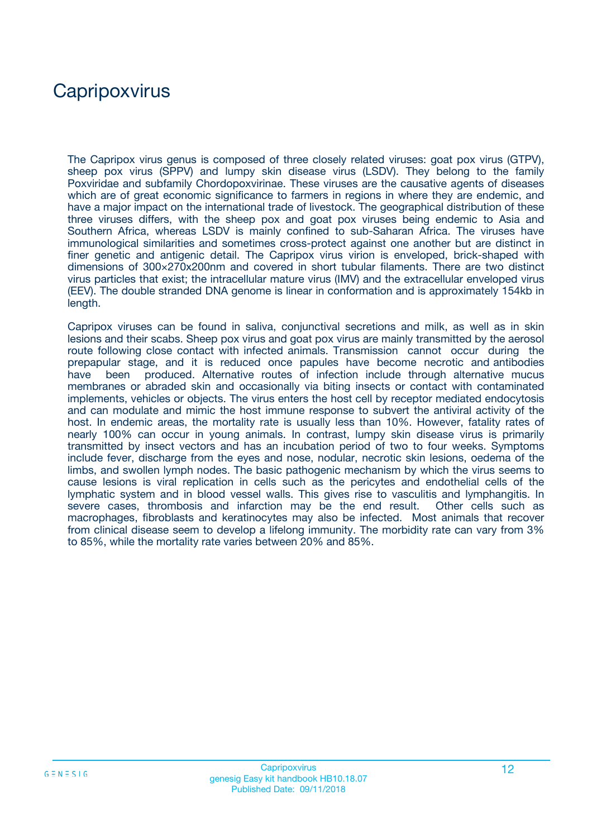## **Capripoxvirus**

The Capripox virus genus is composed of three closely related viruses: goat pox virus (GTPV), sheep pox virus (SPPV) and lumpy skin disease virus (LSDV). They belong to the family Poxviridae and subfamily Chordopoxvirinae. These viruses are the causative agents of diseases which are of great economic significance to farmers in regions in where they are endemic, and have a major impact on the international trade of livestock. The geographical distribution of these three viruses differs, with the sheep pox and goat pox viruses being endemic to Asia and Southern Africa, whereas LSDV is mainly confined to sub-Saharan Africa. The viruses have immunological similarities and sometimes cross-protect against one another but are distinct in finer genetic and antigenic detail. The Capripox virus virion is enveloped, brick-shaped with dimensions of 300×270x200nm and covered in short tubular filaments. There are two distinct virus particles that exist; the intracellular mature virus (IMV) and the extracellular enveloped virus (EEV). The double stranded DNA genome is linear in conformation and is approximately 154kb in length.

Capripox viruses can be found in saliva, conjunctival secretions and milk, as well as in skin lesions and their scabs. Sheep pox virus and goat pox virus are mainly transmitted by the aerosol route following close contact with infected animals. Transmission cannot occur during the prepapular stage, and it is reduced once papules have become necrotic and antibodies have been produced. Alternative routes of infection include through alternative mucus membranes or abraded skin and occasionally via biting insects or contact with contaminated implements, vehicles or objects. The virus enters the host cell by receptor mediated endocytosis and can modulate and mimic the host immune response to subvert the antiviral activity of the host. In endemic areas, the mortality rate is usually less than 10%. However, fatality rates of nearly 100% can occur in young animals. In contrast, lumpy skin disease virus is primarily transmitted by insect vectors and has an incubation period of two to four weeks. Symptoms include fever, discharge from the eyes and nose, nodular, necrotic skin lesions, oedema of the limbs, and swollen lymph nodes. The basic pathogenic mechanism by which the virus seems to cause lesions is viral replication in cells such as the pericytes and endothelial cells of the lymphatic system and in blood vessel walls. This gives rise to vasculitis and lymphangitis. In severe cases, thrombosis and infarction may be the end result. Other cells such as macrophages, fibroblasts and keratinocytes may also be infected. Most animals that recover from clinical disease seem to develop a lifelong immunity. The morbidity rate can vary from 3% to 85%, while the mortality rate varies between 20% and 85%.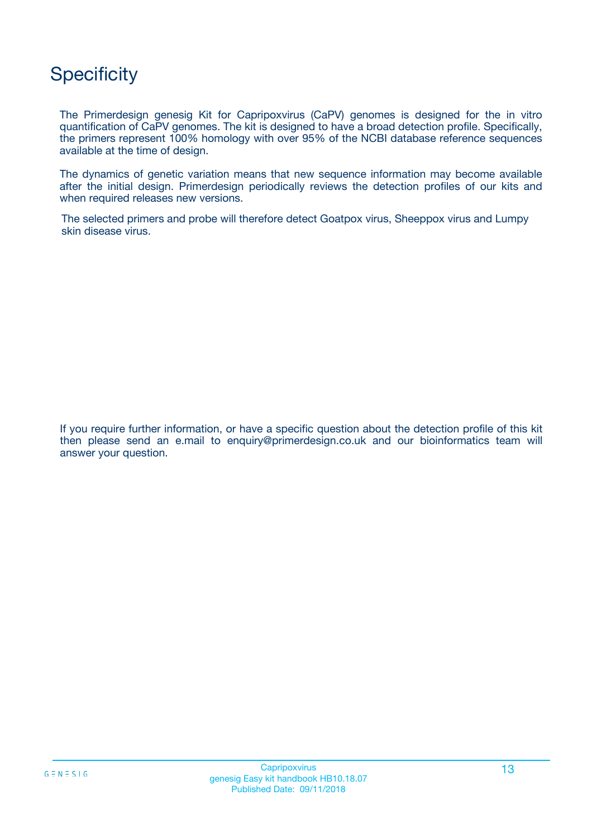## **Specificity**

The Primerdesign genesig Kit for Capripoxvirus (CaPV) genomes is designed for the in vitro quantification of CaPV genomes. The kit is designed to have a broad detection profile. Specifically, the primers represent 100% homology with over 95% of the NCBI database reference sequences available at the time of design.

The dynamics of genetic variation means that new sequence information may become available after the initial design. Primerdesign periodically reviews the detection profiles of our kits and when required releases new versions.

The selected primers and probe will therefore detect Goatpox virus, Sheeppox virus and Lumpy skin disease virus.

If you require further information, or have a specific question about the detection profile of this kit then please send an e.mail to enquiry@primerdesign.co.uk and our bioinformatics team will answer your question.